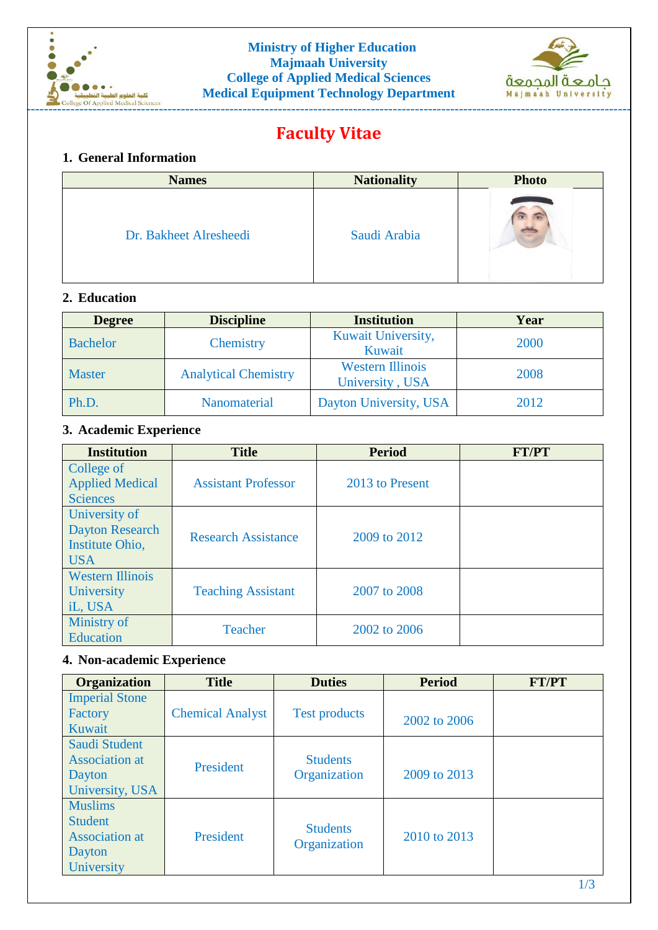



# **Faculty Vitae**

#### **1. General Information**

| <b>Names</b>           | <b>Nationality</b> | <b>Photo</b> |
|------------------------|--------------------|--------------|
| Dr. Bakheet Alresheedi | Saudi Arabia       |              |

## **2. Education**

| <b>Degree</b>   | <b>Discipline</b>           | <b>Institution</b>                         | Year |
|-----------------|-----------------------------|--------------------------------------------|------|
| <b>Bachelor</b> | Chemistry                   | Kuwait University,<br>Kuwait               | 2000 |
| Master          | <b>Analytical Chemistry</b> | <b>Western Illinois</b><br>University, USA | 2008 |
| Ph.D.           | Nanomaterial                | Dayton University, USA                     | 2012 |

## **3. Academic Experience**

| <b>Institution</b>                                                       | <b>Title</b>               | <b>Period</b>   | <b>FT/PT</b> |
|--------------------------------------------------------------------------|----------------------------|-----------------|--------------|
| College of<br><b>Applied Medical</b><br><b>Sciences</b>                  | <b>Assistant Professor</b> | 2013 to Present |              |
| University of<br><b>Dayton Research</b><br>Institute Ohio,<br><b>USA</b> | <b>Research Assistance</b> | 2009 to 2012    |              |
| <b>Western Illinois</b><br>University<br>iL, USA                         | <b>Teaching Assistant</b>  | 2007 to 2008    |              |
| Ministry of<br><b>Education</b>                                          | <b>Teacher</b>             | 2002 to 2006    |              |

## **4. Non-academic Experience**

| <b>Organization</b>                                                               | <b>Title</b>            | <b>Duties</b>                   | <b>Period</b> | <b>FT/PT</b> |
|-----------------------------------------------------------------------------------|-------------------------|---------------------------------|---------------|--------------|
| <b>Imperial Stone</b><br>Factory<br>Kuwait                                        | <b>Chemical Analyst</b> | <b>Test products</b>            | 2002 to 2006  |              |
| Saudi Student<br><b>Association</b> at<br>Dayton<br>University, USA               | President               | <b>Students</b><br>Organization | 2009 to 2013  |              |
| <b>Muslims</b><br><b>Student</b><br><b>Association</b> at<br>Dayton<br>University | President               | <b>Students</b><br>Organization | 2010 to 2013  |              |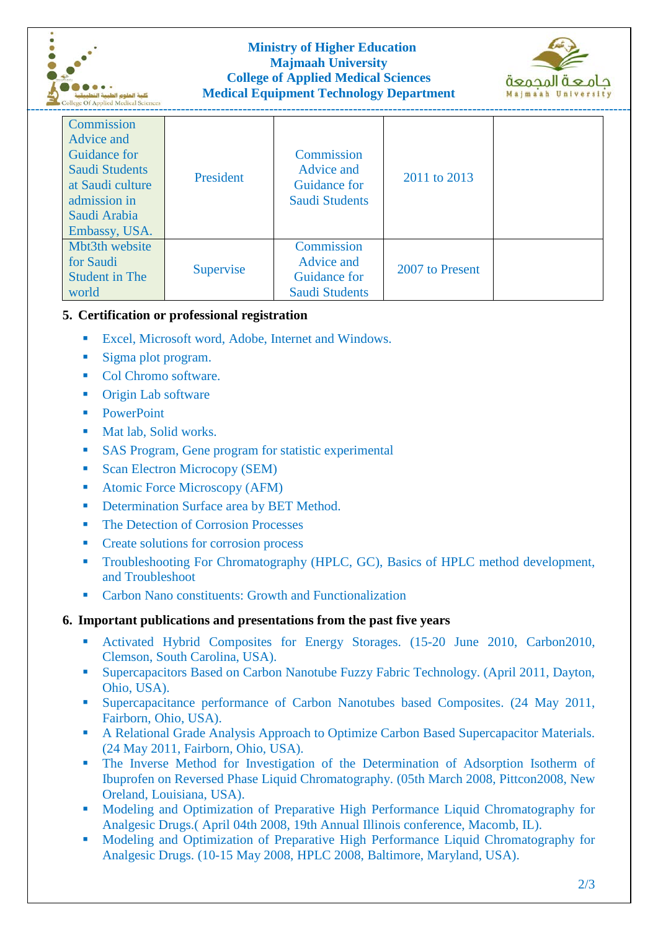



| <b>RESPONDED OF Applied Medited Sciences</b>                                                                                    |           |                                                                   |                 |  |
|---------------------------------------------------------------------------------------------------------------------------------|-----------|-------------------------------------------------------------------|-----------------|--|
| Commission<br>Advice and<br>Guidance for<br>Saudi Students<br>at Saudi culture<br>admission in<br>Saudi Arabia<br>Embassy, USA. | President | Commission<br>Advice and<br>Guidance for<br><b>Saudi Students</b> | 2011 to 2013    |  |
| Mbt3th website<br>for Saudi<br><b>Student in The</b><br>world                                                                   | Supervise | Commission<br>Advice and<br><b>Guidance for</b><br>Saudi Students | 2007 to Present |  |

## **5. Certification or professional registration**

- **Excel, Microsoft word, Adobe, Internet and Windows.**
- Sigma plot program.
- Col Chromo software.
- **•** Origin Lab software
- **PowerPoint**
- **Mat lab, Solid works.**
- **SAS Program, Gene program for statistic experimental**
- Scan Electron Microcopy (SEM)
- Atomic Force Microscopy (AFM)
- Determination Surface area by BET Method.
- The Detection of Corrosion Processes
- **Create solutions for corrosion process**
- **Troubleshooting For Chromatography (HPLC, GC), Basics of HPLC method development,** and Troubleshoot
- Carbon Nano constituents: Growth and Functionalization

#### **6. Important publications and presentations from the past five years**

- Activated Hybrid Composites for Energy Storages. (15-20 June 2010, Carbon2010, Clemson, South Carolina, USA).
- Supercapacitors Based on Carbon Nanotube Fuzzy Fabric Technology. (April 2011, Dayton, Ohio, USA).
- **Supercapacitance performance of Carbon Nanotubes based Composites.** (24 May 2011, Fairborn, Ohio, USA).
- A Relational Grade Analysis Approach to Optimize Carbon Based Supercapacitor Materials. (24 May 2011, Fairborn, Ohio, USA).
- The Inverse Method for Investigation of the Determination of Adsorption Isotherm of Ibuprofen on Reversed Phase Liquid Chromatography. (05th March 2008, Pittcon2008, New Oreland, Louisiana, USA).
- **Modeling and Optimization of Preparative High Performance Liquid Chromatography for** Analgesic Drugs.( April 04th 2008, 19th Annual Illinois conference, Macomb, IL).
- Modeling and Optimization of Preparative High Performance Liquid Chromatography for Analgesic Drugs. (10-15 May 2008, HPLC 2008, Baltimore, Maryland, USA).